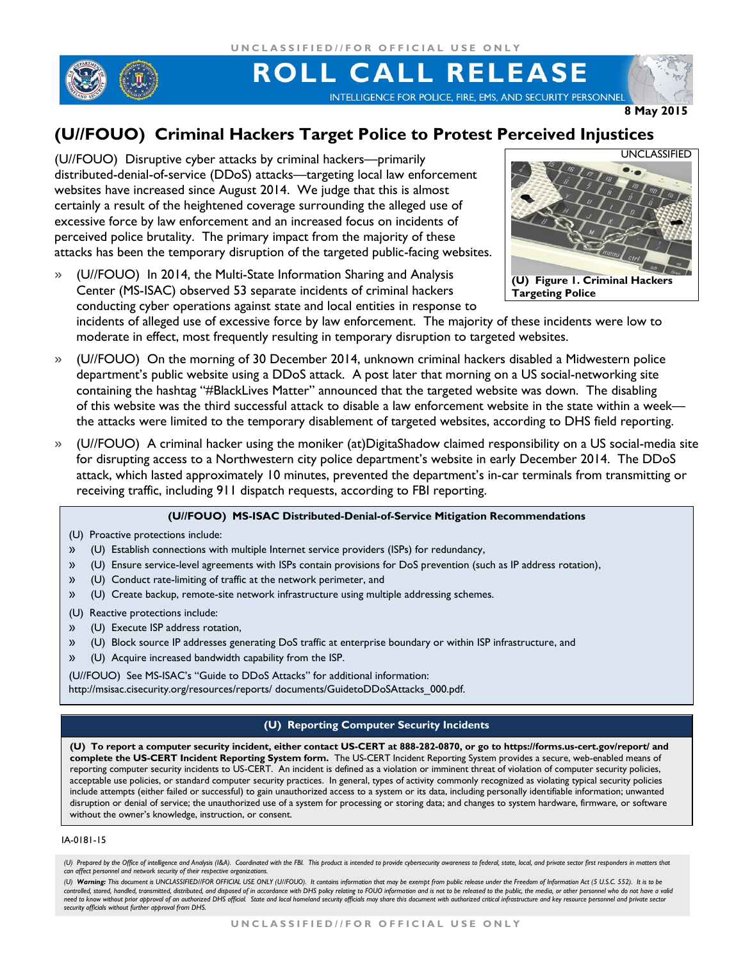

# ROLL CALL RELEASE

INTELLIGENCE FOR POLICE, FIRE, EMS, AND SECURITY PERSONNEL

**8 May 2015**

## **(U//FOUO) Criminal Hackers Target Police to Protest Perceived Injustices**

(U//FOUO) Disruptive cyber attacks by criminal hackers—primarily distributed-denial-of-service (DDoS) attacks—targeting local law enforcement websites have increased since August 2014. We judge that this is almost certainly a result of the heightened coverage surrounding the alleged use of excessive force by law enforcement and an increased focus on incidents of perceived police brutality. The primary impact from the majority of these attacks has been the temporary disruption of the targeted public-facing websites.

» (U//FOUO) In 2014, the Multi-State Information Sharing and Analysis Center (MS-ISAC) observed 53 separate incidents of criminal hackers conducting cyber operations against state and local entities in response to



incidents of alleged use of excessive force by law enforcement. The majority of these incidents were low to moderate in effect, most frequently resulting in temporary disruption to targeted websites.

- » (U//FOUO) On the morning of 30 December 2014, unknown criminal hackers disabled a Midwestern police department's public website using a DDoS attack. A post later that morning on a US social-networking site containing the hashtag "#BlackLives Matter" announced that the targeted website was down. The disabling of this website was the third successful attack to disable a law enforcement website in the state within a week the attacks were limited to the temporary disablement of targeted websites, according to DHS field reporting.
- » (U//FOUO) A criminal hacker using the moniker (at)DigitaShadow claimed responsibility on a US social-media site for disrupting access to a Northwestern city police department's website in early December 2014. The DDoS attack, which lasted approximately 10 minutes, prevented the department's in-car terminals from transmitting or receiving traffic, including 911 dispatch requests, according to FBI reporting.

#### **(U//FOUO) MS-ISAC Distributed-Denial-of-Service Mitigation Recommendations**

- (U) Proactive protections include:
- » (U) Establish connections with multiple Internet service providers (ISPs) for redundancy,
- » (U) Ensure service-level agreements with ISPs contain provisions for DoS prevention (such as IP address rotation),
- » (U) Conduct rate-limiting of traffic at the network perimeter, and
- » (U) Create backup, remote-site network infrastructure using multiple addressing schemes.
- (U) Reactive protections include:
- » (U) Execute ISP address rotation,
- » (U) Block source IP addresses generating DoS traffic at enterprise boundary or within ISP infrastructure, and
- » (U) Acquire increased bandwidth capability from the ISP.
- (U//FOUO) See MS-ISAC's "Guide to DDoS Attacks" for additional information:

http://msisac.cisecurity.org/resources/reports/ documents/GuidetoDDoSAttacks\_000.pdf.

### **(U) Reporting Computer Security Incidents**

**(U) To report a computer security incident, either contact US-CERT at 888-282-0870, or go to https://forms.us-cert.gov/report/ and complete the US-CERT Incident Reporting System form.** The US-CERT Incident Reporting System provides a secure, web-enabled means of reporting computer security incidents to US-CERT. An incident is defined as a violation or imminent threat of violation of computer security policies, acceptable use policies, or standard computer security practices. In general, types of activity commonly recognized as violating typical security policies include attempts (either failed or successful) to gain unauthorized access to a system or its data, including personally identifiable information; unwanted disruption or denial of service; the unauthorized use of a system for processing or storing data; and changes to system hardware, firmware, or software without the owner's knowledge, instruction, or consent.

#### IA-0181-15

<sup>(</sup>U) Prepared by the Office of intelligence and Analysis (I&A). Coordinated with the FBI. This product is intended to provide cybersecurity awareness to federal, state, local, and private sector first responders in matters *can affect personnel and network security of their respective organizations.*

<sup>(</sup>U) **Warning:** This document is UNCLASSIFIED/IFOR OFFICIAL USE ONLY (U/IFOUO). It contains information that may be exempt from public release under the Freedom of Information Act (5 U.S.C. 552). It is to be<br>controlled, sto need to know without prior approval of an authorized DHS official. State and local homeland security officials may share this document with authorized critical infrastructure and key resource personnel and private sector *security officials without further approval from DHS.*